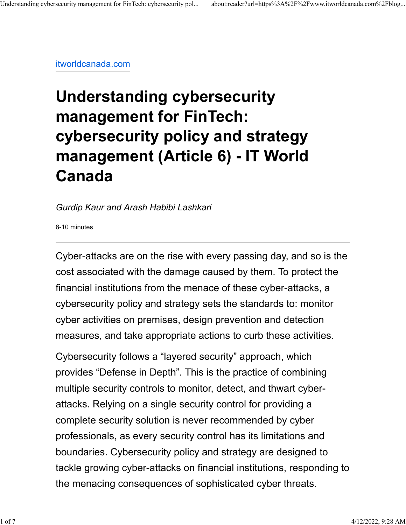[itworldcanada.com](https://www.itworldcanada.com/blog/understanding-cybersecurity-management-for-fintech-security-issues-on-the-financial-market-infrastructures-article-6/473440)

# **Understanding cybersecurity management for FinTech: cybersecurity policy and strategy management (Article 6) - IT World Canada**

#### *Gurdip Kaur and Arash Habibi Lashkari*

8-10 minutes

Cyber-attacks are on the rise with every passing day, and so is the cost associated with the damage caused by them. To protect the financial institutions from the menace of these cyber-attacks, a cybersecurity policy and strategy sets the standards to: monitor cyber activities on premises, design prevention and detection measures, and take appropriate actions to curb these activities.

Cybersecurity follows a "layered security" approach, which provides "Defense in Depth". This is the practice of combining multiple security controls to monitor, detect, and thwart cyberattacks. Relying on a single security control for providing a complete security solution is never recommended by cyber professionals, as every security control has its limitations and boundaries. Cybersecurity policy and strategy are designed to tackle growing cyber-attacks on financial institutions, responding to the menacing consequences of sophisticated cyber threats.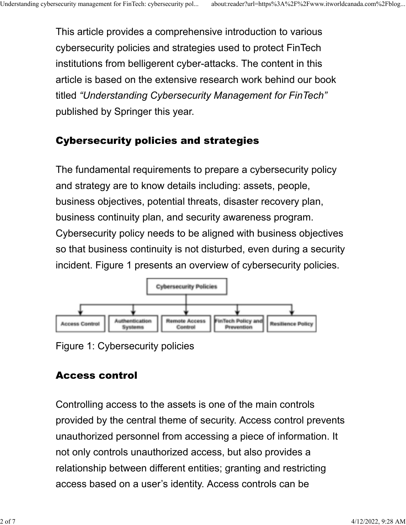This article provides a comprehensive introduction to various cybersecurity policies and strategies used to protect FinTech institutions from belligerent cyber-attacks. The content in this article is based on the extensive research work behind our book titled *"Understanding Cybersecurity Management for FinTech"* published by Springer this year.

## Cybersecurity policies and strategies

The fundamental requirements to prepare a cybersecurity policy and strategy are to know details including: assets, people, business objectives, potential threats, disaster recovery plan, business continuity plan, and security awareness program. Cybersecurity policy needs to be aligned with business objectives so that business continuity is not disturbed, even during a security incident. Figure 1 presents an overview of cybersecurity policies.



Figure 1: Cybersecurity policies

## Access control

Controlling access to the assets is one of the main controls provided by the central theme of security. Access control prevents unauthorized personnel from accessing a piece of information. It not only controls unauthorized access, but also provides a relationship between different entities; granting and restricting access based on a user's identity. Access controls can be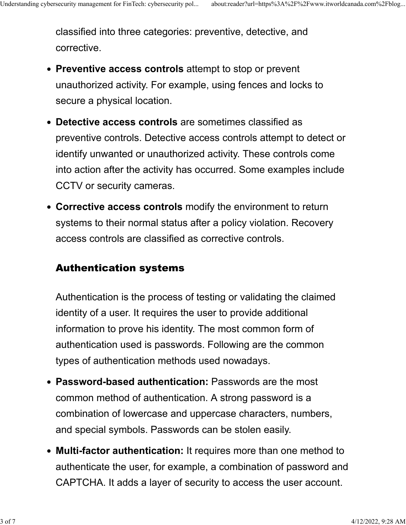classified into three categories: preventive, detective, and corrective.

- **Preventive access controls** attempt to stop or prevent unauthorized activity. For example, using fences and locks to secure a physical location.
- **Detective access controls** are sometimes classified as preventive controls. Detective access controls attempt to detect or identify unwanted or unauthorized activity. These controls come into action after the activity has occurred. Some examples include CCTV or security cameras.
- **Corrective access controls** modify the environment to return systems to their normal status after a policy violation. Recovery access controls are classified as corrective controls.

#### Authentication systems

Authentication is the process of testing or validating the claimed identity of a user. It requires the user to provide additional information to prove his identity. The most common form of authentication used is passwords. Following are the common types of authentication methods used nowadays.

- **Password-based authentication:** Passwords are the most common method of authentication. A strong password is a combination of lowercase and uppercase characters, numbers, and special symbols. Passwords can be stolen easily.
- **Multi-factor authentication:** It requires more than one method to authenticate the user, for example, a combination of password and CAPTCHA. It adds a layer of security to access the user account.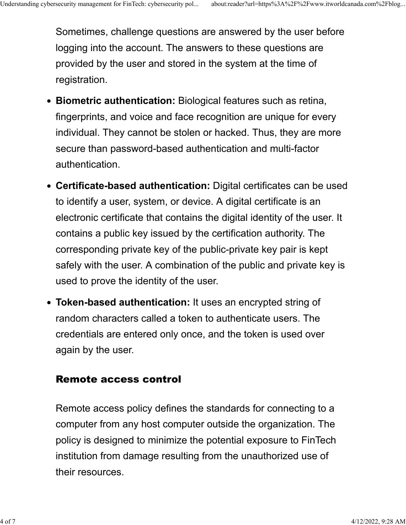Sometimes, challenge questions are answered by the user before logging into the account. The answers to these questions are provided by the user and stored in the system at the time of registration.

- **Biometric authentication:** Biological features such as retina, fingerprints, and voice and face recognition are unique for every individual. They cannot be stolen or hacked. Thus, they are more secure than password-based authentication and multi-factor authentication.
- **Certificate-based authentication:** Digital certificates can be used to identify a user, system, or device. A digital certificate is an electronic certificate that contains the digital identity of the user. It contains a public key issued by the certification authority. The corresponding private key of the public-private key pair is kept safely with the user. A combination of the public and private key is used to prove the identity of the user.
- **Token-based authentication:** It uses an encrypted string of random characters called a token to authenticate users. The credentials are entered only once, and the token is used over again by the user.

#### Remote access control

Remote access policy defines the standards for connecting to a computer from any host computer outside the organization. The policy is designed to minimize the potential exposure to FinTech institution from damage resulting from the unauthorized use of their resources.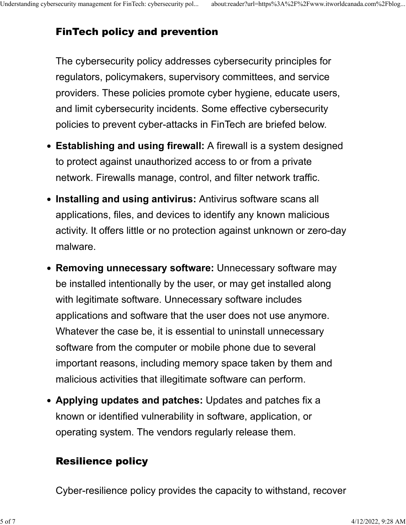## FinTech policy and prevention

The cybersecurity policy addresses cybersecurity principles for regulators, policymakers, supervisory committees, and service providers. These policies promote cyber hygiene, educate users, and limit cybersecurity incidents. Some effective cybersecurity policies to prevent cyber-attacks in FinTech are briefed below.

- **Establishing and using firewall:** A firewall is a system designed to protect against unauthorized access to or from a private network. Firewalls manage, control, and filter network traffic.
- **Installing and using antivirus:** Antivirus software scans all applications, files, and devices to identify any known malicious activity. It offers little or no protection against unknown or zero-day malware.
- **Removing unnecessary software:** Unnecessary software may be installed intentionally by the user, or may get installed along with legitimate software. Unnecessary software includes applications and software that the user does not use anymore. Whatever the case be, it is essential to uninstall unnecessary software from the computer or mobile phone due to several important reasons, including memory space taken by them and malicious activities that illegitimate software can perform.
- **Applying updates and patches:** Updates and patches fix a known or identified vulnerability in software, application, or operating system. The vendors regularly release them.

## Resilience policy

Cyber-resilience policy provides the capacity to withstand, recover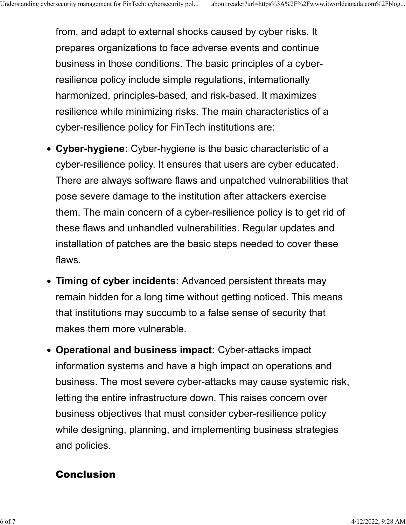from, and adapt to external shocks caused by cyber risks. It prepares organizations to face adverse events and continue business in those conditions. The basic principles of a cyberresilience policy include simple regulations, internationally harmonized, principles-based, and risk-based. It maximizes resilience while minimizing risks. The main characteristics of a cyber-resilience policy for FinTech institutions are:

- **Cyber-hygiene:** Cyber-hygiene is the basic characteristic of a cyber-resilience policy. It ensures that users are cyber educated. There are always software flaws and unpatched vulnerabilities that pose severe damage to the institution after attackers exercise them. The main concern of a cyber-resilience policy is to get rid of these flaws and unhandled vulnerabilities. Regular updates and installation of patches are the basic steps needed to cover these flaws.
- **Timing of cyber incidents:** Advanced persistent threats may remain hidden for a long time without getting noticed. This means that institutions may succumb to a false sense of security that makes them more vulnerable.
- **Operational and business impact:** Cyber-attacks impact information systems and have a high impact on operations and business. The most severe cyber-attacks may cause systemic risk, letting the entire infrastructure down. This raises concern over business objectives that must consider cyber-resilience policy while designing, planning, and implementing business strategies and policies.

### Conclusion